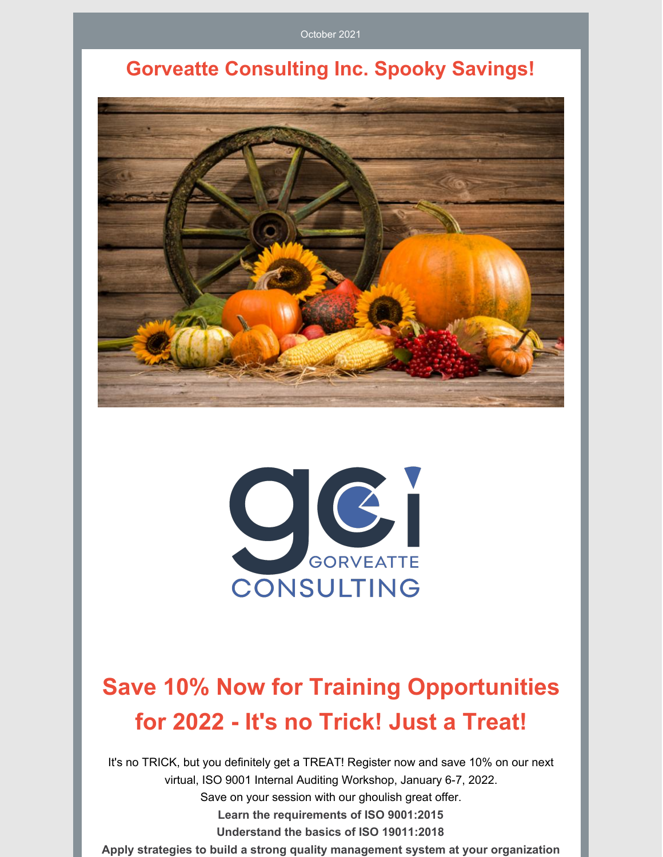October 2021

## **Gorveatte Consulting Inc. Spooky Savings!**





# **Save 10% Now for Training Opportunities for 2022 - It's no Trick! Just a Treat!**

It's no TRICK, but you definitely get a TREAT! Register now and save 10% on our next virtual, ISO 9001 Internal Auditing Workshop, January 6-7, 2022. Save on your session with our ghoulish great offer. **Learn the requirements of ISO 9001:2015 Understand the basics of ISO 19011:2018 Apply strategies to build a strong quality management system at your organization**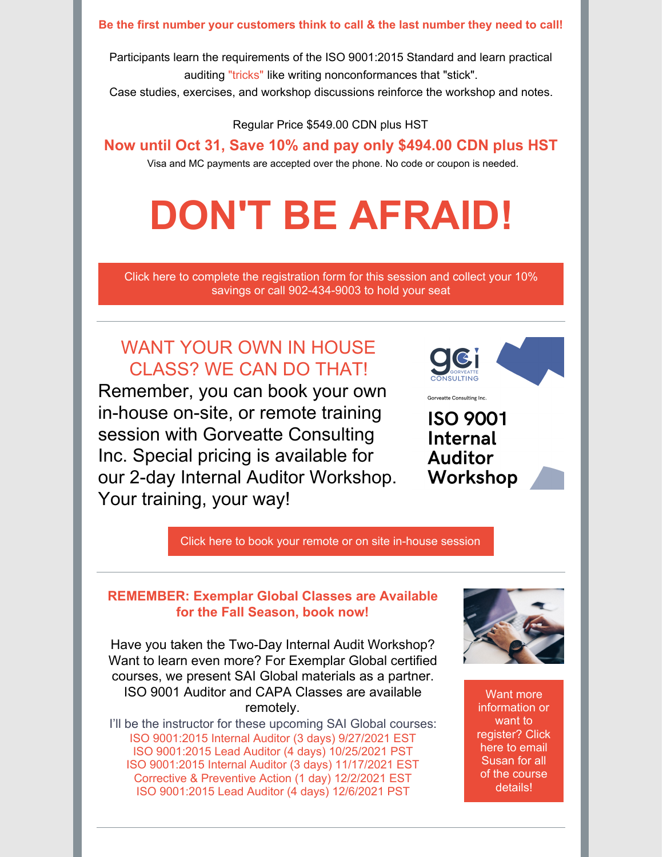#### **Be the first number your customers think to call & the last number they need to call!**

Participants learn the requirements of the ISO 9001:2015 Standard and learn practical auditing "tricks" like writing nonconformances that "stick".

Case studies, exercises, and workshop discussions reinforce the workshop and notes.

Regular Price \$549.00 CDN plus HST

### **Now until Oct 31, Save 10% and pay only \$494.00 CDN plus HST**

Visa and MC payments are accepted over the phone. No code or coupon is needed.

# **DON'T BE AFRAID!**

Click here to complete the registration form for this session and collect your 10% savings or call [902-434-9003](https://www.gorveatteconsulting.com/training.html) to hold your seat

### WANT YOUR OWN IN HOUSE CLASS? WE CAN DO THAT!

Remember, you can book your own in-house on-site, or remote training session with Gorveatte Consulting Inc. Special pricing is available for our 2-day Internal Auditor Workshop. Your training, your way!

ISO 9001 **Internal Auditor** Workshop

.<br>Gorveatte Consulting Inc.

Click here to book your remote or on site [in-house](mailto:susan@gorveatteconsulting.com) session

### **REMEMBER: Exemplar Global Classes are Available for the Fall Season, book now!**

Have you taken the Two-Day Internal Audit Workshop? Want to learn even more? For Exemplar Global certified courses, we present SAI Global materials as a partner. ISO 9001 Auditor and CAPA Classes are available remotely.

I'll be the instructor for these upcoming SAI Global courses: ISO 9001:2015 Internal Auditor (3 days) 9/27/2021 EST ISO 9001:2015 Lead Auditor (4 days) 10/25/2021 PST ISO 9001:2015 Internal Auditor (3 days) 11/17/2021 EST Corrective & Preventive Action (1 day) 12/2/2021 EST ISO 9001:2015 Lead Auditor (4 days) 12/6/2021 PST



Want more [information](mailto:susan@gorveatteconsulting.com) or want to register? Click here to email Susan for all of the course details!